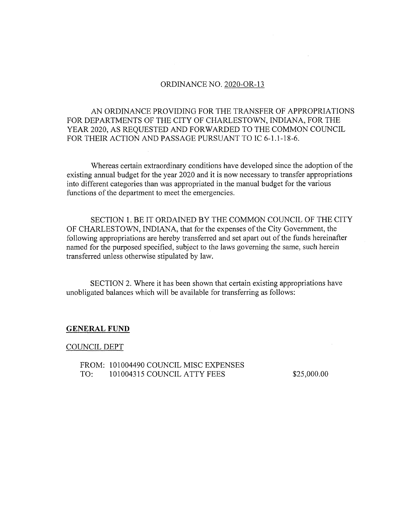## ORDINANCE NO. 2020-OR-13

AN ORDINANCE PROVIDING FOR THE TRANSFER OF APPROPRIATIONS FOR DEPARTMENTS OF THE CITY OF CHARLESTOWN, INDIANA, FOR THE YEAR 2020, AS REQUESTED AND FORWARDED TO THE COMMON COUNCIL FOR THEIR ACTION AND PASSAGE PURSUANT TO IC 6-1.1-18-6.

Whereas certain extraordinary conditions have developed since the adoption of the existing annual budget for the year 2020 and it is now necessary to transfer appropriations into different categories than was appropriated in the manual budget for the various functions of the department to meet the emergencies.

SECTION 1. BE IT ORDAINED BY THE COMMON COUNCIL OF THE CITY OF CHARLESTOWN, INDIANA, that for the expenses of the City Government, the following appropriations are hereby transferred and set apart out of the funds hereinafter named for the purposed specified, subject to the laws governing the same, such herein transferred unless otherwise stipulated by law.

SECTION 2. Where it has been shown that certain existing appropriations have unobligated balances which will be available for transferring as follows:

## **GENERAL FUND**

## COUNCIL DEPT

FROM; 101004490 COUNCIL MISC EXPENSES TO: 101004315 COUNCIL ATTY FEES \$25,000.00